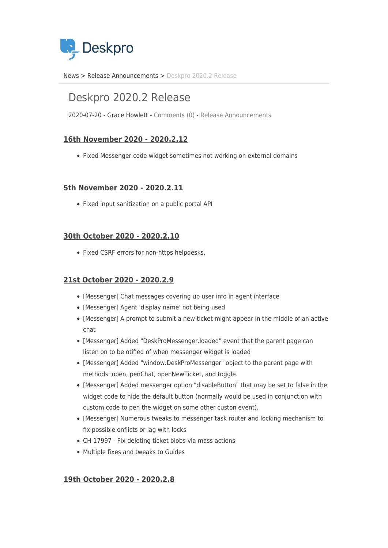

[News](https://support.deskpro.com/ro/news) > [Release Announcements](https://support.deskpro.com/ro/news/release-announcements) > [Deskpro 2020.2 Release](https://support.deskpro.com/ro/news/posts/deskpro-2020-2-release)

# Deskpro 2020.2 Release

2020-07-20 - Grace Howlett - [Comments \(0\)](#page--1-0) - [Release Announcements](https://support.deskpro.com/ro/news/release-announcements)

# **16th November 2020 - 2020.2.12**

• Fixed Messenger code widget sometimes not working on external domains

### **5th November 2020 - 2020.2.11**

• Fixed input sanitization on a public portal API

### **30th October 2020 - 2020.2.10**

• Fixed CSRF errors for non-https helpdesks.

## **21st October 2020 - 2020.2.9**

- [Messenger] Chat messages covering up user info in agent interface
- [Messenger] Agent 'display name' not being used
- [Messenger] A prompt to submit a new ticket might appear in the middle of an active chat
- [Messenger] Added "DeskProMessenger.loaded" event that the parent page can listen on to be otified of when messenger widget is loaded
- [Messenger] Added "window.DeskProMessenger" object to the parent page with methods: open, penChat, openNewTicket, and toggle.
- [Messenger] Added messenger option "disableButton" that may be set to false in the widget code to hide the default button (normally would be used in conjunction with custom code to pen the widget on some other custon event).
- [Messenger] Numerous tweaks to messenger task router and locking mechanism to fix possible onflicts or lag with locks
- CH-17997 Fix deleting ticket blobs via mass actions
- Multiple fixes and tweaks to Guides

## **19th October 2020 - 2020.2.8**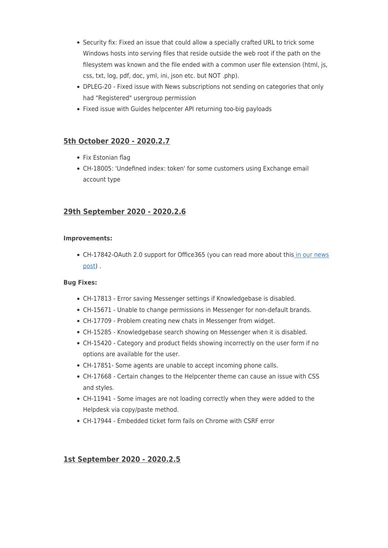- Security fix: Fixed an issue that could allow a specially crafted URL to trick some Windows hosts into serving files that reside outside the web root if the path on the filesystem was known and the file ended with a common user file extension (html, js, css, txt, log, pdf, doc, yml, ini, json etc. but NOT .php).
- DPLEG-20 Fixed issue with News subscriptions not sending on categories that only had "Registered" usergroup permission
- Fixed issue with Guides helpcenter API returning too-big payloads

# **5th October 2020 - 2020.2.7**

- Fix Estonian flag
- CH-18005: 'Undefined index: token' for some customers using Exchange email account type

## **29th September 2020 - 2020.2.6**

### **Improvements:**

• CH-17842-OAuth 2.0 support for Office365 (you can read more about thi[s in our news](https://support.deskpro.com/en-GB/news/posts/support-for-oauth2-authentication-for-office365) [post](https://support.deskpro.com/en-GB/news/posts/support-for-oauth2-authentication-for-office365)) .

#### **Bug Fixes:**

- CH-17813 Error saving Messenger settings if Knowledgebase is disabled.
- CH-15671 Unable to change permissions in Messenger for non-default brands.
- CH-17709 Problem creating new chats in Messenger from widget.
- CH-15285 Knowledgebase search showing on Messenger when it is disabled.
- CH-15420 Category and product fields showing incorrectly on the user form if no options are available for the user.
- CH-17851- Some agents are unable to accept incoming phone calls.
- CH-17668 Certain changes to the Helpcenter theme can cause an issue with CSS and styles.
- CH-11941 Some images are not loading correctly when they were added to the Helpdesk via copy/paste method.
- CH-17944 Embedded ticket form fails on Chrome with CSRF error

## **1st September 2020 - 2020.2.5**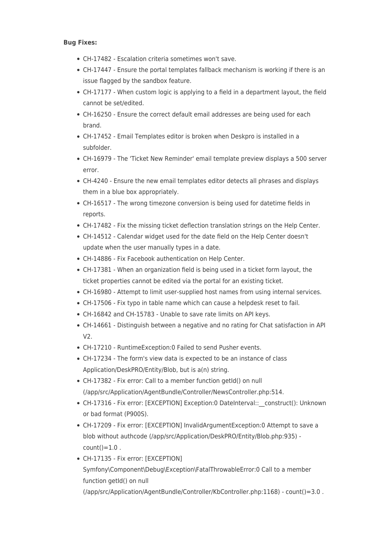### **Bug Fixes:**

- CH-17482 Escalation criteria sometimes won't save.
- CH-17447 Ensure the portal templates fallback mechanism is working if there is an issue flagged by the sandbox feature.
- CH-17177 When custom logic is applying to a field in a department layout, the field cannot be set/edited.
- CH-16250 Ensure the correct default email addresses are being used for each brand.
- CH-17452 Email Templates editor is broken when Deskpro is installed in a subfolder.
- CH-16979 The 'Ticket New Reminder' email template preview displays a 500 server error.
- CH-4240 Ensure the new email templates editor detects all phrases and displays them in a blue box appropriately.
- CH-16517 The wrong timezone conversion is being used for datetime fields in reports.
- CH-17482 Fix the missing ticket deflection translation strings on the Help Center.
- CH-14512 Calendar widget used for the date field on the Help Center doesn't update when the user manually types in a date.
- CH-14886 Fix Facebook authentication on Help Center.
- CH-17381 When an organization field is being used in a ticket form layout, the ticket properties cannot be edited via the portal for an existing ticket.
- CH-16980 Attempt to limit user-supplied host names from using internal services.
- CH-17506 Fix typo in table name which can cause a helpdesk reset to fail.
- CH-16842 and CH-15783 Unable to save rate limits on API keys.
- CH-14661 Distinguish between a negative and no rating for Chat satisfaction in API V2.
- CH-17210 RuntimeException:0 Failed to send Pusher events.
- CH-17234 The form's view data is expected to be an instance of class Application/DeskPRO/Entity/Blob, but is a(n) string.
- CH-17382 Fix error: Call to a member function getId() on null (/app/src/Application/AgentBundle/Controller/NewsController.php:514.
- CH-17316 Fix error: [EXCEPTION] Exception:0 DateInterval::\_\_construct(): Unknown or bad format (P900S).
- CH-17209 Fix error: [EXCEPTION] InvalidArgumentException:0 Attempt to save a blob without authcode (/app/src/Application/DeskPRO/Entity/Blob.php:935)  $count() = 1.0$ .
- CH-17135 Fix error: [EXCEPTION] Symfony\Component\Debug\Exception\FatalThrowableError:0 Call to a member function getId() on null (/app/src/Application/AgentBundle/Controller/KbController.php:1168) - count()=3.0 .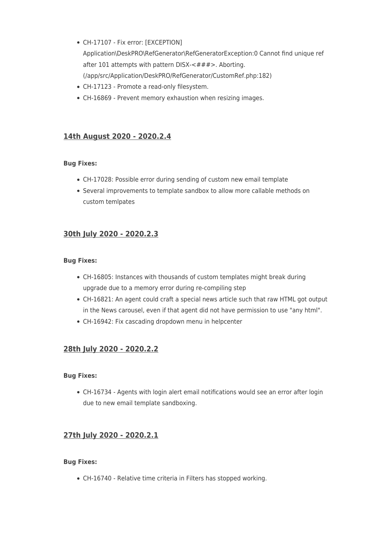- CH-17107 Fix error: [EXCEPTION] Application\DeskPRO\RefGenerator\RefGeneratorException:0 Cannot find unique ref after 101 attempts with pattern DISX-<###>. Aborting. (/app/src/Application/DeskPRO/RefGenerator/CustomRef.php:182)
- CH-17123 Promote a read-only filesystem.
- CH-16869 Prevent memory exhaustion when resizing images.

# **14th August 2020 - 2020.2.4**

### **Bug Fixes:**

- CH-17028: Possible error during sending of custom new email template
- Several improvements to template sandbox to allow more callable methods on custom temlpates

# **30th July 2020 - 2020.2.3**

### **Bug Fixes:**

- CH-16805: Instances with thousands of custom templates might break during upgrade due to a memory error during re-compiling step
- CH-16821: An agent could craft a special news article such that raw HTML got output in the News carousel, even if that agent did not have permission to use "any html".
- CH-16942: Fix cascading dropdown menu in helpcenter

# **28th July 2020 - 2020.2.2**

#### **Bug Fixes:**

CH-16734 - Agents with login alert email notifications would see an error after login due to new email template sandboxing.

## **27th July 2020 - 2020.2.1**

#### **Bug Fixes:**

CH-16740 - Relative time criteria in Filters has stopped working.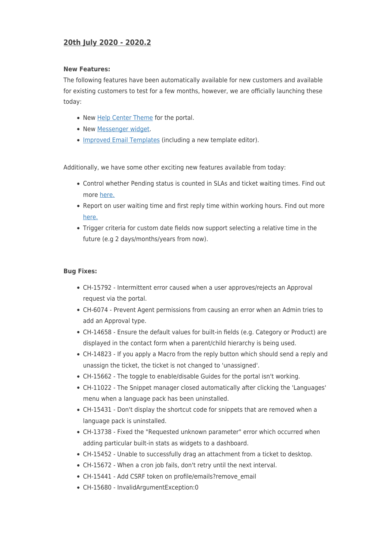# **20th July 2020 - 2020.2**

#### **New Features:**

The following features have been automatically available for new customers and available for existing customers to test for a few months, however, we are officially launching these today:

- New [Help Center Theme](https://support.deskpro.com/news/posts/790) for the portal.
- New [Messenger widget](https://support.deskpro.com/news/posts/791).
- [Improved Email Templates](https://support.deskpro.com/news/posts/785) (including a new template editor).

Additionally, we have some other exciting new features available from today:

- Control whether Pending status is counted in SLAs and ticket waiting times. Find out more [here.](https://support.deskpro.com/news/posts/794)
- Report on user waiting time and first reply time within working hours. Find out more [here.](https://support.deskpro.com/news/posts/793)
- Trigger criteria for custom date fields now support selecting a relative time in the future (e.g 2 days/months/years from now).

#### **Bug Fixes:**

- CH-15792 Intermittent error caused when a user approves/rejects an Approval request via the portal.
- CH-6074 Prevent Agent permissions from causing an error when an Admin tries to add an Approval type.
- CH-14658 Ensure the default values for built-in fields (e.g. Category or Product) are displayed in the contact form when a parent/child hierarchy is being used.
- CH-14823 If you apply a Macro from the reply button which should send a reply and unassign the ticket, the ticket is not changed to 'unassigned'.
- CH-15662 The toggle to enable/disable Guides for the portal isn't working.
- CH-11022 The Snippet manager closed automatically after clicking the 'Languages' menu when a language pack has been uninstalled.
- CH-15431 Don't display the shortcut code for snippets that are removed when a language pack is uninstalled.
- CH-13738 Fixed the "Requested unknown parameter" error which occurred when adding particular built-in stats as widgets to a dashboard.
- CH-15452 Unable to successfully drag an attachment from a ticket to desktop.
- CH-15672 When a cron job fails, don't retry until the next interval.
- CH-15441 Add CSRF token on profile/emails?remove\_email
- CH-15680 InvalidArgumentException:0